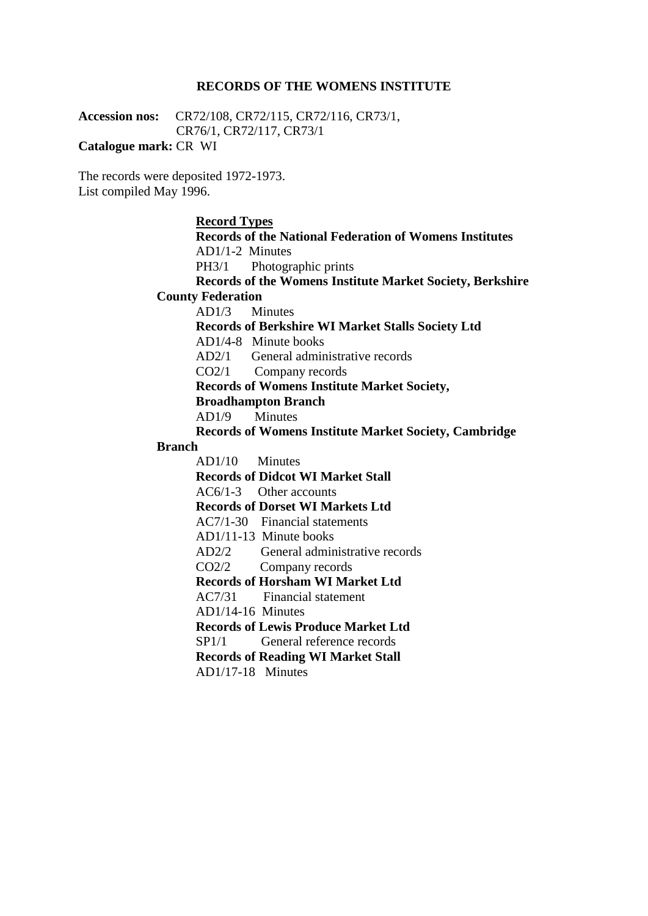#### **RECORDS OF THE WOMENS INSTITUTE**

**Accession nos:** CR72/108, CR72/115, CR72/116, CR73/1, CR76/1, CR72/117, CR73/1

**Catalogue mark:** CR WI

The records were deposited 1972-1973. List compiled May 1996.

#### **Record Types**

**Records of the National Federation of Womens Institutes** AD1/1-2 Minutes PH3/1 Photographic prints **Records of the Womens Institute Market Society, Berkshire County Federation** AD1/3 Minutes **Records of Berkshire WI Market Stalls Society Ltd** AD1/4-8 Minute books AD2/1 General administrative records CO2/1 Company records **Records of Womens Institute Market Society, Broadhampton Branch**

AD1/9 Minutes

**Records of Womens Institute Market Society, Cambridge** 

#### **Branch**

AD1/10 Minutes **Records of Didcot WI Market Stall** AC6/1-3 Other accounts **Records of Dorset WI Markets Ltd** AC7/1-30 Financial statements AD1/11-13 Minute books AD2/2 General administrative records CO2/2 Company records **Records of Horsham WI Market Ltd** AC7/31 Financial statement AD1/14-16 Minutes **Records of Lewis Produce Market Ltd** SP1/1 General reference records **Records of Reading WI Market Stall** AD1/17-18 Minutes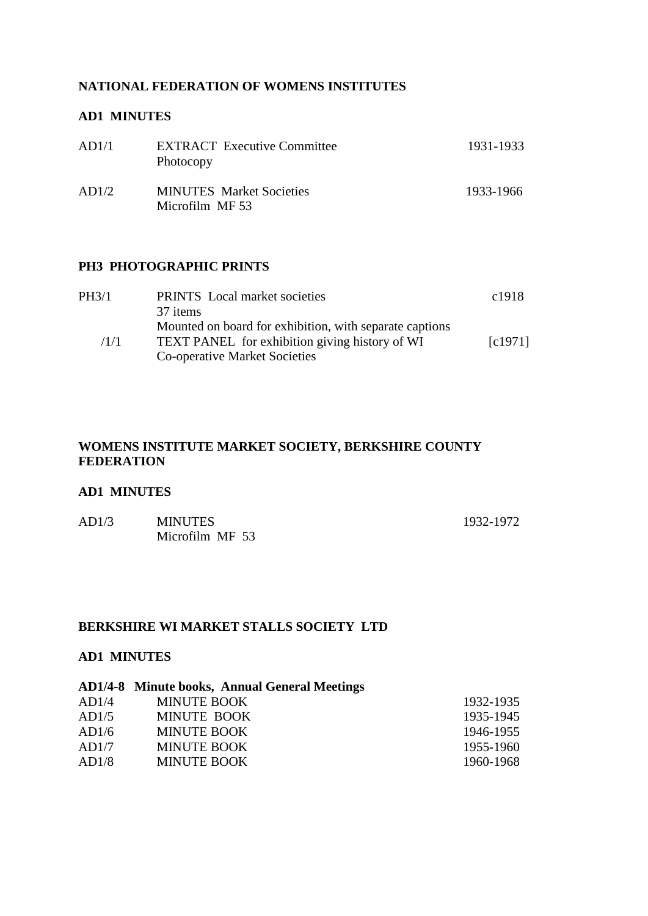## **NATIONAL FEDERATION OF WOMENS INSTITUTES**

## **AD1 MINUTES**

| AD1/1 | <b>EXTRACT</b> Executive Committee<br>Photocopy    | 1931-1933 |
|-------|----------------------------------------------------|-----------|
| AD1/2 | <b>MINUTES</b> Market Societies<br>Microfilm MF 53 | 1933-1966 |

#### **PH3 PHOTOGRAPHIC PRINTS**

| PH3/1 | <b>PRINTS</b> Local market societies                    | c <sub>1918</sub>    |
|-------|---------------------------------------------------------|----------------------|
|       | 37 items                                                |                      |
|       | Mounted on board for exhibition, with separate captions |                      |
| /1/1  | TEXT PANEL for exhibition giving history of WI          | $\lceil c1971\rceil$ |
|       | Co-operative Market Societies                           |                      |

# **WOMENS INSTITUTE MARKET SOCIETY, BERKSHIRE COUNTY FEDERATION**

### **AD1 MINUTES**

| AD1/3 | <b>MINUTES</b>  | 1932-1972 |
|-------|-----------------|-----------|
|       | Microfilm MF 53 |           |

# **BERKSHIRE WI MARKET STALLS SOCIETY LTD**

## **AD1 MINUTES**

# **AD1/4-8 Minute books, Annual General Meetings**

| AD1/4 | MINUTE BOOK        | 1932-1935 |
|-------|--------------------|-----------|
| AD1/5 | MINUTE BOOK        | 1935-1945 |
| AD1/6 | MINUTE BOOK        | 1946-1955 |
| AD1/7 | MINUTE BOOK        | 1955-1960 |
| AD1/8 | <b>MINUTE BOOK</b> | 1960-1968 |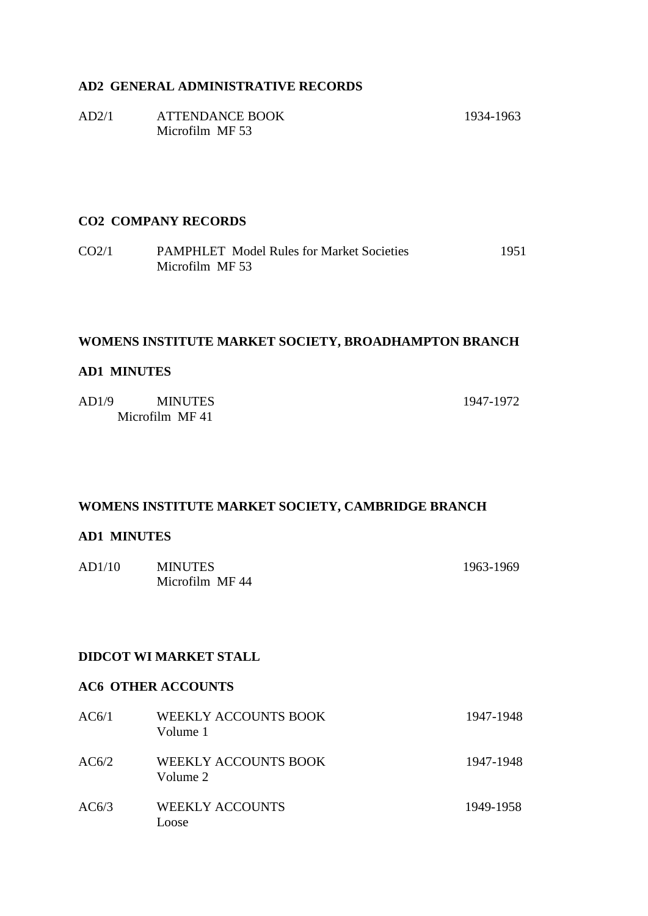## **AD2 GENERAL ADMINISTRATIVE RECORDS**

| AD2/1 | <b>ATTENDANCE BOOK</b> | 1934-1963 |
|-------|------------------------|-----------|
|       | Microfilm MF 53        |           |

### **CO2 COMPANY RECORDS**

CO2/1 PAMPHLET Model Rules for Market Societies 1951 Microfilm MF 53

## **WOMENS INSTITUTE MARKET SOCIETY, BROADHAMPTON BRANCH**

#### **AD1 MINUTES**

| AD1/9 | <b>MINUTES</b> | 1947-1972 |
|-------|----------------|-----------|
|       | Microfilm MF41 |           |

## **WOMENS INSTITUTE MARKET SOCIETY, CAMBRIDGE BRANCH**

### **AD1 MINUTES**

| AD1/10 | <b>MINUTES</b> | 1963-1969 |
|--------|----------------|-----------|
|        | Microfilm MF44 |           |

#### **DIDCOT WI MARKET STALL**

# **AC6 OTHER ACCOUNTS**

| AC6/1 | WEEKLY ACCOUNTS BOOK<br>Volume 1        | 1947-1948 |
|-------|-----------------------------------------|-----------|
| AC6/2 | <b>WEEKLY ACCOUNTS BOOK</b><br>Volume 2 | 1947-1948 |
| AC6/3 | <b>WEEKLY ACCOUNTS</b><br><b>LOOSE</b>  | 1949-1958 |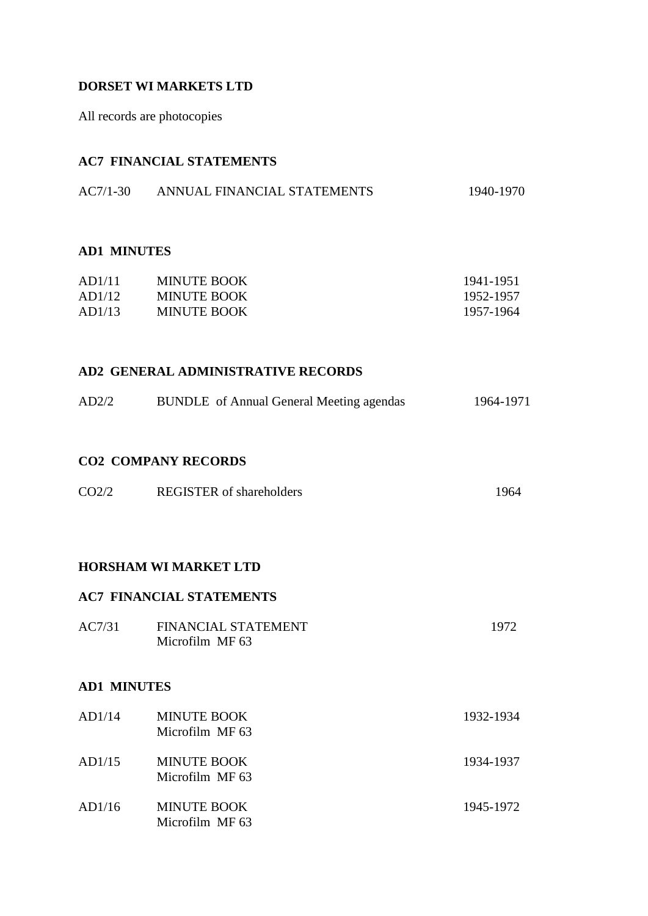## **DORSET WI MARKETS LTD**

All records are photocopies

## **AC7 FINANCIAL STATEMENTS**

| $AC7/1-30$ | ANNUAL FINANCIAL STATEMENTS | 1940-1970 |
|------------|-----------------------------|-----------|
|            |                             |           |

#### **AD1 MINUTES**

| AD1/11 | <b>MINUTE BOOK</b> | 1941-1951 |
|--------|--------------------|-----------|
| AD1/12 | <b>MINUTE BOOK</b> | 1952-1957 |
| AD1/13 | <b>MINUTE BOOK</b> | 1957-1964 |

## **AD2 GENERAL ADMINISTRATIVE RECORDS**

| <b>BUNDLE</b> of Annual General Meeting agendas<br>AD2/2<br>1964-1971 |  |
|-----------------------------------------------------------------------|--|
|-----------------------------------------------------------------------|--|

## **CO2 COMPANY RECORDS**

| CO <sub>2/2</sub> | <b>REGISTER</b> of shareholders | 1964 |
|-------------------|---------------------------------|------|
|                   |                                 |      |

## **HORSHAM WI MARKET LTD**

## **AC7 FINANCIAL STATEMENTS**

| AC7/31 | <b>FINANCIAL STATEMENT</b> | 1972 |
|--------|----------------------------|------|
|        | Microfilm MF 63            |      |

## **AD1 MINUTES**

| AD1/14 | <b>MINUTE BOOK</b><br>Microfilm MF 63 | 1932-1934 |
|--------|---------------------------------------|-----------|
| AD1/15 | <b>MINUTE BOOK</b><br>Microfilm MF 63 | 1934-1937 |
| AD1/16 | <b>MINUTE BOOK</b><br>Microfilm MF 63 | 1945-1972 |